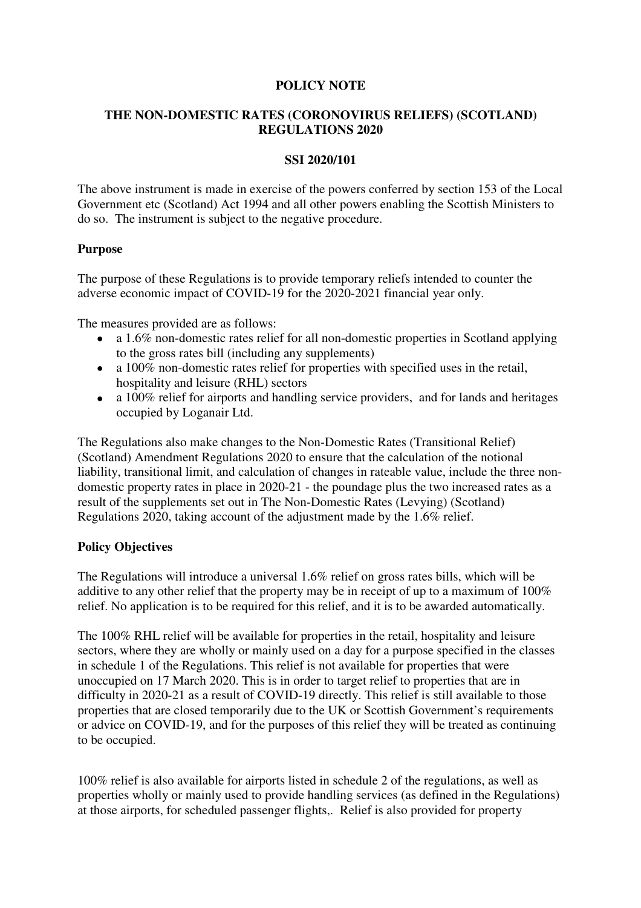## **POLICY NOTE**

# **THE NON-DOMESTIC RATES (CORONOVIRUS RELIEFS) (SCOTLAND) REGULATIONS 2020**

## **SSI 2020/101**

The above instrument is made in exercise of the powers conferred by section 153 of the Local Government etc (Scotland) Act 1994 and all other powers enabling the Scottish Ministers to do so. The instrument is subject to the negative procedure.

## **Purpose**

The purpose of these Regulations is to provide temporary reliefs intended to counter the adverse economic impact of COVID-19 for the 2020-2021 financial year only.

The measures provided are as follows:

- a 1.6% non-domestic rates relief for all non-domestic properties in Scotland applying to the gross rates bill (including any supplements)
- a 100% non-domestic rates relief for properties with specified uses in the retail, hospitality and leisure (RHL) sectors
- a 100% relief for airports and handling service providers, and for lands and heritages occupied by Loganair Ltd.

The Regulations also make changes to the Non-Domestic Rates (Transitional Relief) (Scotland) Amendment Regulations 2020 to ensure that the calculation of the notional liability, transitional limit, and calculation of changes in rateable value, include the three nondomestic property rates in place in 2020-21 - the poundage plus the two increased rates as a result of the supplements set out in The Non-Domestic Rates (Levying) (Scotland) Regulations 2020, taking account of the adjustment made by the 1.6% relief.

# **Policy Objectives**

The Regulations will introduce a universal 1.6% relief on gross rates bills, which will be additive to any other relief that the property may be in receipt of up to a maximum of 100% relief. No application is to be required for this relief, and it is to be awarded automatically.

The 100% RHL relief will be available for properties in the retail, hospitality and leisure sectors, where they are wholly or mainly used on a day for a purpose specified in the classes in schedule 1 of the Regulations. This relief is not available for properties that were unoccupied on 17 March 2020. This is in order to target relief to properties that are in difficulty in 2020-21 as a result of COVID-19 directly. This relief is still available to those properties that are closed temporarily due to the UK or Scottish Government's requirements or advice on COVID-19, and for the purposes of this relief they will be treated as continuing to be occupied.

100% relief is also available for airports listed in schedule 2 of the regulations, as well as properties wholly or mainly used to provide handling services (as defined in the Regulations) at those airports, for scheduled passenger flights,. Relief is also provided for property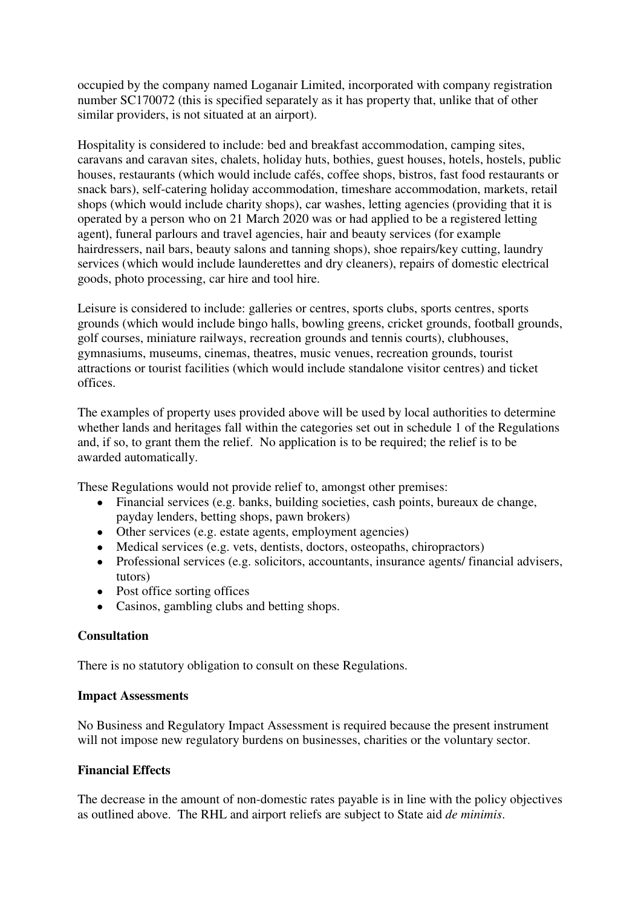occupied by the company named Loganair Limited, incorporated with company registration number SC170072 (this is specified separately as it has property that, unlike that of other similar providers, is not situated at an airport).

Hospitality is considered to include: bed and breakfast accommodation, camping sites, caravans and caravan sites, chalets, holiday huts, bothies, guest houses, hotels, hostels, public houses, restaurants (which would include cafés, coffee shops, bistros, fast food restaurants or snack bars), self-catering holiday accommodation, timeshare accommodation, markets, retail shops (which would include charity shops), car washes, letting agencies (providing that it is operated by a person who on 21 March 2020 was or had applied to be a registered letting agent), funeral parlours and travel agencies, hair and beauty services (for example hairdressers, nail bars, beauty salons and tanning shops), shoe repairs/key cutting, laundry services (which would include launderettes and dry cleaners), repairs of domestic electrical goods, photo processing, car hire and tool hire.

Leisure is considered to include: galleries or centres, sports clubs, sports centres, sports grounds (which would include bingo halls, bowling greens, cricket grounds, football grounds, golf courses, miniature railways, recreation grounds and tennis courts), clubhouses, gymnasiums, museums, cinemas, theatres, music venues, recreation grounds, tourist attractions or tourist facilities (which would include standalone visitor centres) and ticket offices.

The examples of property uses provided above will be used by local authorities to determine whether lands and heritages fall within the categories set out in schedule 1 of the Regulations and, if so, to grant them the relief. No application is to be required; the relief is to be awarded automatically.

These Regulations would not provide relief to, amongst other premises:

- Financial services (e.g. banks, building societies, cash points, bureaux de change, payday lenders, betting shops, pawn brokers)
- Other services (e.g. estate agents, employment agencies)
- Medical services (e.g. vets, dentists, doctors, osteopaths, chiropractors)
- Professional services (e.g. solicitors, accountants, insurance agents/ financial advisers, tutors)
- Post office sorting offices
- Casinos, gambling clubs and betting shops.

### **Consultation**

There is no statutory obligation to consult on these Regulations.

### **Impact Assessments**

No Business and Regulatory Impact Assessment is required because the present instrument will not impose new regulatory burdens on businesses, charities or the voluntary sector.

### **Financial Effects**

The decrease in the amount of non-domestic rates payable is in line with the policy objectives as outlined above. The RHL and airport reliefs are subject to State aid *de minimis*.